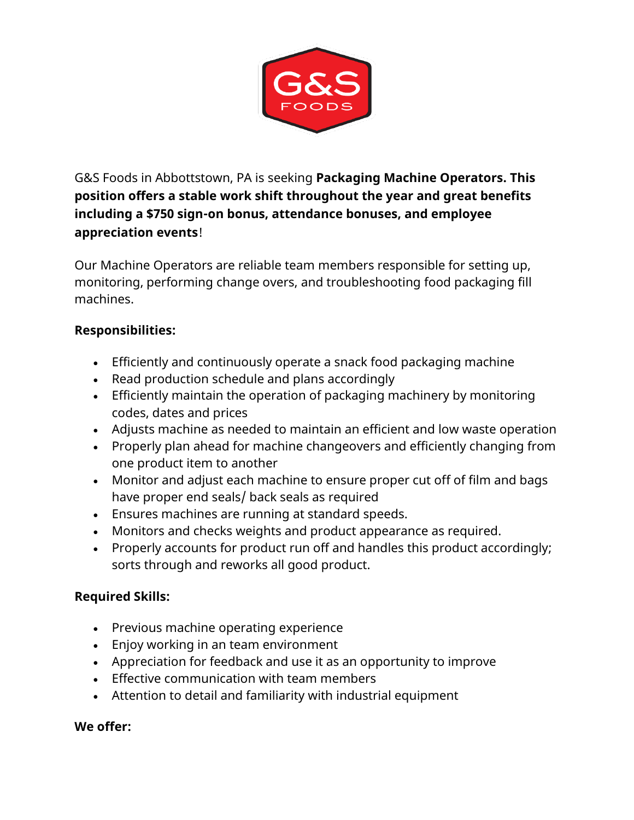

G&S Foods in Abbottstown, PA is seeking **Packaging Machine Operators. This position offers a stable work shift throughout the year and great benefits including a \$750 sign-on bonus, attendance bonuses, and employee appreciation events**!

Our Machine Operators are reliable team members responsible for setting up, monitoring, performing change overs, and troubleshooting food packaging fill machines.

## **Responsibilities:**

- Efficiently and continuously operate a snack food packaging machine
- Read production schedule and plans accordingly
- Efficiently maintain the operation of packaging machinery by monitoring codes, dates and prices
- Adjusts machine as needed to maintain an efficient and low waste operation
- Properly plan ahead for machine changeovers and efficiently changing from one product item to another
- Monitor and adjust each machine to ensure proper cut off of film and bags have proper end seals/ back seals as required
- Ensures machines are running at standard speeds.
- Monitors and checks weights and product appearance as required.
- Properly accounts for product run off and handles this product accordingly; sorts through and reworks all good product.

## **Required Skills:**

- Previous machine operating experience
- Enjoy working in an team environment
- Appreciation for feedback and use it as an opportunity to improve
- Effective communication with team members
- Attention to detail and familiarity with industrial equipment

## **We offer:**